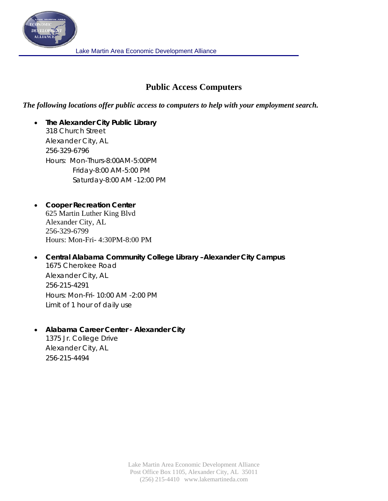

## **Public Access Computers**

## *The following locations offer public access to computers to help with your employment search.*

- **The Alexander City Public Library**  318 Church Street Alexander City, AL 256-329-6796 Hours: Mon-Thurs-8:00AM-5:00PM Friday-8:00 AM-5:00 PM Saturday-8:00 AM -12:00 PM
- **Cooper Recreation Center**  625 Martin Luther King Blvd Alexander City, AL 256-329-6799 Hours: Mon-Fri- 4:30PM-8:00 PM
- **Central Alabama Community College Library –Alexander City Campus**  1675 Cherokee Road Alexander City, AL 256-215-4291 Hours: Mon-Fri- 10:00 AM -2:00 PM Limit of 1 hour of daily use
- **Alabama Career Center Alexander City**  1375 Jr. College Drive Alexander City, AL 256-215-4494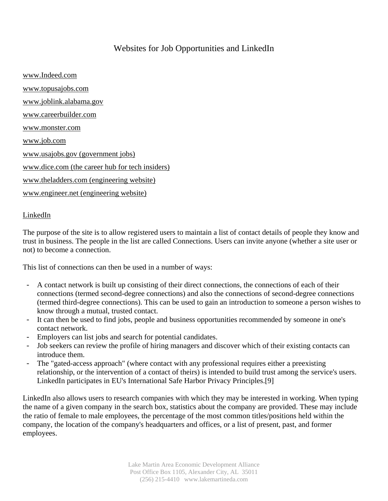# Websites for Job Opportunities and LinkedIn

[www.Indeed.com](http://www.indeed.com/)

[www.topusajobs.com](http://www.topusajobs.com/) [www.joblink.alabama.gov](http://www.joblink.alabama.gov/) [www.careerbuilder.com](http://www.careerbuilder.com/) [www.monster.com](http://www.monster.com/) [www.job.com](http://www.job.com/) [www.usajobs.gov](http://www.usajobs.gov/) (government jobs) [www.dice.com](http://www.dice.com/) (the career hub for tech insiders) [www.theladders.com](http://www.theladders.com/) (engineering website) [www.engineer.net](http://www.engineer.net/) (engineering website)

## LinkedIn

The purpose of the site is to allow registered users to maintain a list of contact details of people they know and trust in business. The people in the list are called Connections. Users can invite anyone (whether a site user or not) to become a connection.

This list of connections can then be used in a number of ways:

- A contact network is built up consisting of their direct connections, the connections of each of their connections (termed second-degree connections) and also the connections of second-degree connections (termed third-degree connections). This can be used to gain an introduction to someone a person wishes to know through a mutual, trusted contact.
- It can then be used to find jobs, people and business opportunities recommended by someone in one's contact network.
- Employers can list jobs and search for potential candidates.
- Job seekers can review the profile of hiring managers and discover which of their existing contacts can introduce them.
- The "gated-access approach" (where contact with any professional requires either a preexisting relationship, or the intervention of a contact of theirs) is intended to build trust among the service's users. LinkedIn participates in EU's International Safe Harbor Privacy Principles.[9]

LinkedIn also allows users to research companies with which they may be interested in working. When typing the name of a given company in the search box, statistics about the company are provided. These may include the ratio of female to male employees, the percentage of the most common titles/positions held within the company, the location of the company's headquarters and offices, or a list of present, past, and former employees.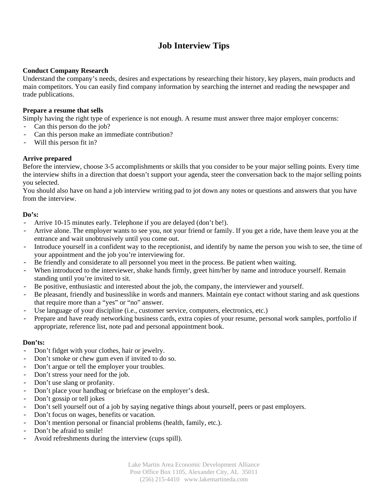## **Job Interview Tips**

### **Conduct Company Research**

Understand the company's needs, desires and expectations by researching their history, key players, main products and main competitors. You can easily find company information by searching the internet and reading the newspaper and trade publications.

#### **Prepare a resume that sells**

Simply having the right type of experience is not enough. A resume must answer three major employer concerns:

- Can this person do the job?
- Can this person make an immediate contribution?
- Will this person fit in?

#### **Arrive prepared**

Before the interview, choose 3-5 accomplishments or skills that you consider to be your major selling points. Every time the interview shifts in a direction that doesn't support your agenda, steer the conversation back to the major selling points you selected.

You should also have on hand a job interview writing pad to jot down any notes or questions and answers that you have from the interview.

#### **Do's:**

- Arrive 10-15 minutes early. Telephone if you are delayed (don't be!).
- Arrive alone. The employer wants to see you, not your friend or family. If you get a ride, have them leave you at the entrance and wait unobtrusively until you come out.
- Introduce yourself in a confident way to the receptionist, and identify by name the person you wish to see, the time of your appointment and the job you're interviewing for.
- Be friendly and considerate to all personnel you meet in the process. Be patient when waiting.
- When introduced to the interviewer, shake hands firmly, greet him/her by name and introduce yourself. Remain standing until you're invited to sit.
- Be positive, enthusiastic and interested about the job, the company, the interviewer and yourself.
- Be pleasant, friendly and businesslike in words and manners. Maintain eye contact without staring and ask questions that require more than a "yes" or "no" answer.
- Use language of your discipline (i.e., customer service, computers, electronics, etc.)
- Prepare and have ready networking business cards, extra copies of your resume, personal work samples, portfolio if appropriate, reference list, note pad and personal appointment book.

#### **Don'ts:**

- Don't fidget with your clothes, hair or jewelry.
- Don't smoke or chew gum even if invited to do so.
- Don't argue or tell the employer your troubles.
- Don't stress your need for the job.
- Don't use slang or profanity.
- Don't place your handbag or briefcase on the employer's desk.
- Don't gossip or tell jokes
- Don't sell yourself out of a job by saying negative things about yourself, peers or past employers.
- Don't focus on wages, benefits or vacation.
- Don't mention personal or financial problems (health, family, etc.).
- Don't be afraid to smile!
- Avoid refreshments during the interview (cups spill).